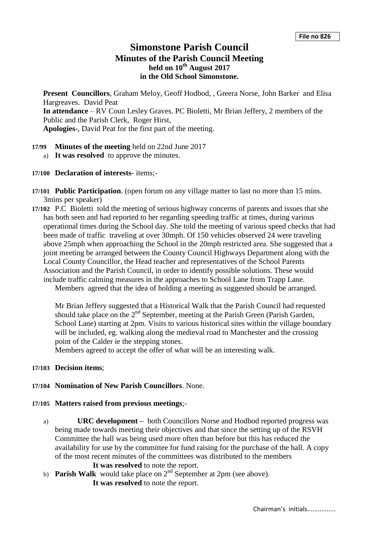# **Simonstone Parish Council Minutes of the Parish Council Meeting held on 10th August 2017 in the Old School Simonstone.**

**Present Councillors**, Graham Meloy, Geoff Hodbod, , Greera Norse, John Barker and Elisa Hargreaves. David Peat **In attendance** – RV Coun Lesley Graves. PC Bioletti, Mr Brian Jeffery, 2 members of the Public and the Parish Clerk, Roger Hirst, **Apologies-**, David Peat for the first part of the meeting.

- **17/99 Minutes of the meeting** held on 22nd June 2017
	- a) **It was resolved** to approve the minutes.
- **17/100 Declaration of interests** items;-
- **17/101 Public Participation**. (open forum on any village matter to last no more than 15 mins. 3mins per speaker)
- **17/102** P.C Bioletti told the meeting of serious highway concerns of parents and issues that she has both seen and had reported to her regarding speeding traffic at times, during various operational times during the School day. She told the meeting of various speed checks that had been made of traffic traveling at over 30mph. Of 150 vehicles observed 24 were traveling above 25mph when approaching the School in the 20mph restricted area. She suggested that a joint meeting be arranged between the County Council Highways Department along with the Local County Councillor, the Head teacher and representatives of the School Parents Association and the Parish Council, in order to identify possible solutions. These would include traffic calming measures in the approaches to School Lane from Trapp Lane.

Members agreed that the idea of holding a meeting as suggested should be arranged.

Mr Brian Jeffery suggested that a Historical Walk that the Parish Council had requested should take place on the 2<sup>nd</sup> September, meeting at the Parish Green (Parish Garden, School Lane) starting at 2pm. Visits to various historical sites within the village boundary will be included, eg. walking along the medieval road to Manchester and the crossing point of the Calder ie the stepping stones.

Members agreed to accept the offer of what will be an interesting walk.

**17/103 Decision items**;

#### **17/104 Nomination of New Parish Councillors**. None.

- **17/105 Matters raised from previous meetings**;
	- a) **URC development –** both Councillors Norse and Hodbod reported progress was being made towards meeting their objectives and that since the setting up of the RSVH Committee the hall was being used more often than before but this has reduced the availability for use by the committee for fund raising for the purchase of the hall. A copy of the most recent minutes of the committees was distributed to the members
		- **It was resolved** to note the report.
	- b) **Parish Walk** would take place on 2<sup>nd</sup> September at 2pm (see above).
		- **It was resolved** to note the report.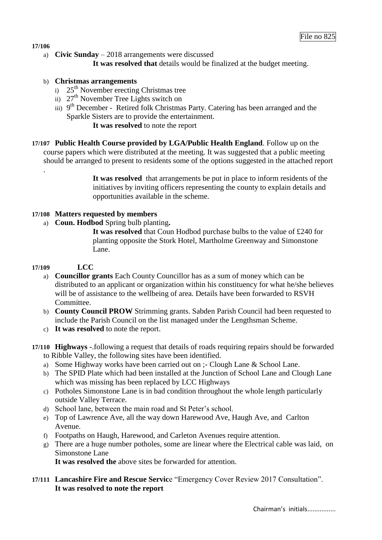#### **17/106**

.

a) **Civic Sunday** – 2018 arrangements were discussed **It was resolved that** details would be finalized at the budget meeting.

#### b) **Christmas arrangements**

- $25<sup>th</sup>$  November erecting Christmas tree
- ii)  $27<sup>th</sup>$  November Tree Lights switch on
- iii) 9<sup>th</sup> December Retired folk Christmas Party. Catering has been arranged and the Sparkle Sisters are to provide the entertainment.
	- **It was resolved** to note the report
- **17/107 Public Health Course provided by LGA/Public Health England**. Follow up on the course papers which were distributed at the meeting. It was suggested that a public meeting should be arranged to present to residents some of the options suggested in the attached report

**It was resolved** that arrangements be put in place to inform residents of the initiatives by inviting officers representing the county to explain details and opportunities available in the scheme.

### **17/108 Matters requested by members**

a) **Coun. Hodbod** Spring bulb planting**.**

**It was resolved** that Coun Hodbod purchase bulbs to the value of £240 for planting opposite the Stork Hotel, Martholme Greenway and Simonstone Lane.

### **17/109 LCC**

- a) **Councillor grants** Each County Councillor has as a sum of money which can be distributed to an applicant or organization within his constituency for what he/she believes will be of assistance to the wellbeing of area. Details have been forwarded to RSVH Committee.
- b) **County Council PROW** Strimming grants. Sabden Parish Council had been requested to include the Parish Council on the list managed under the Lengthsman Scheme.
- c) **It was resolved** to note the report.
- **17/110 Highways -**.following a request that details of roads requiring repairs should be forwarded to Ribble Valley, the following sites have been identified.
	- a) Some Highway works have been carried out on ;- Clough Lane & School Lane.
	- b) The SPID Plate which had been installed at the Junction of School Lane and Clough Lane which was missing has been replaced by LCC Highways
	- c) Potholes Simonstone Lane is in bad condition throughout the whole length particularly outside Valley Terrace.
	- d) School lane, between the main road and St Peter's school.
	- e) Top of Lawrence Ave, all the way down Harewood Ave, Haugh Ave, and Carlton Avenue.
	- f) Footpaths on Haugh, Harewood, and Carleton Avenues require attention.
	- g) There are a huge number potholes, some are linear where the Electrical cable was laid, on Simonstone Lane

**It was resolved the** above sites be forwarded for attention.

**17/111 Lancashire Fire and Rescue Servic**e "Emergency Cover Review 2017 Consultation". **It was resolved to note the report**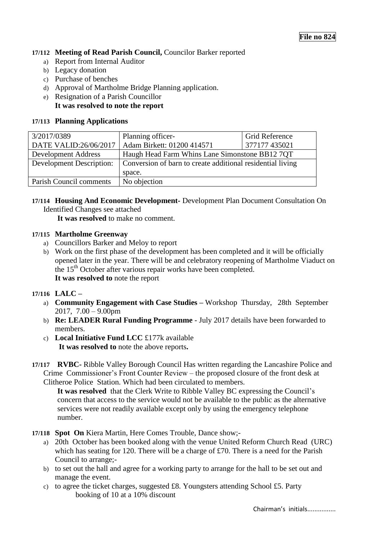# **17/112 Meeting of Read Parish Council,** Councilor Barker reported

- a) Report from Internal Auditor
- b) Legacy donation
- c) Purchase of benches
- d) Approval of Martholme Bridge Planning application.
- e) Resignation of a Parish Councillor
	- **It was resolved to note the report**

### **17/113 Planning Applications**

| 3/2017/0389                     | Planning officer-                                          | <b>Grid Reference</b> |  |
|---------------------------------|------------------------------------------------------------|-----------------------|--|
|                                 | DATE VALID:26/06/2017   Adam Birkett: 01200 414571         | 377177 435021         |  |
| <b>Development Address</b>      | Haugh Head Farm Whins Lane Simonstone BB12 7QT             |                       |  |
| <b>Development Description:</b> | Conversion of barn to create additional residential living |                       |  |
|                                 | space.                                                     |                       |  |
| Parish Council comments         | No objection                                               |                       |  |
|                                 |                                                            |                       |  |

# **17/114 Housing And Economic Development-** Development Plan Document Consultation On Identified Changes see attached

**It was resolved** to make no comment.

### **17/115 Martholme Greenway**

- a) Councillors Barker and Meloy to report
- b) Work on the first phase of the development has been completed and it will be officially opened later in the year. There will be and celebratory reopening of Martholme Viaduct on the 15<sup>th</sup> October after various repair works have been completed. **It was resolved to** note the report

# **17/116 LALC –**

- a) **Community Engagement with Case Studies –** Workshop Thursday, 28th September 2017, 7.00 – 9.00pm
- b) **Re: LEADER Rural Funding Programme** July 2017 details have been forwarded to members.
- c) **Local Initiative Fund LCC** £177k available **It was resolved to** note the above reports**.**
- **17/117 RVBC-** Ribble Valley Borough Council Has written regarding the Lancashire Police and Crime Commissioner's Front Counter Review – the proposed closure of the front desk at Clitheroe Police Station. Which had been circulated to members.

**It was resolved** that the Clerk Write to Ribble Valley BC expressing the Council's concern that access to the service would not be available to the public as the alternative services were not readily available except only by using the emergency telephone number.

- **17/118 Spot On** Kiera Martin, Here Comes Trouble, Dance show;
	- a) 20th October has been booked along with the venue United Reform Church Read (URC) which has seating for 120. There will be a charge of £70. There is a need for the Parish Council to arrange;-
	- b) to set out the hall and agree for a working party to arrange for the hall to be set out and manage the event.
	- c) to agree the ticket charges, suggested £8. Youngsters attending School £5. Party booking of 10 at a 10% discount